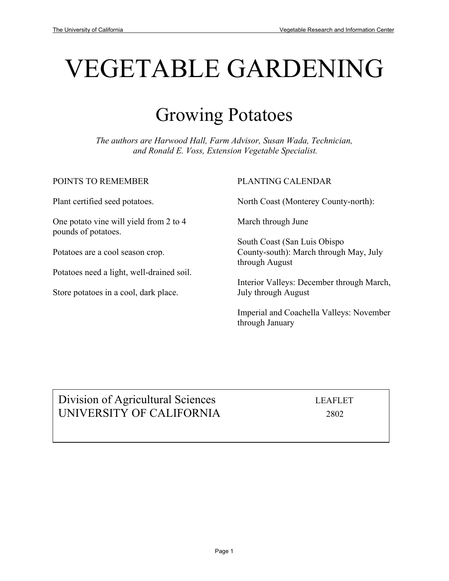# VEGETABLE GARDENING

## Growing Potatoes

*The authors are Harwood Hall, Farm Advisor, Susan Wada, Technician, and Ronald E. Voss, Extension Vegetable Specialist.* 

POINTS TO REMEMBER

Plant certified seed potatoes.

One potato vine will yield from 2 to 4 pounds of potatoes.

Potatoes are a cool season crop.

Potatoes need a light, well-drained soil.

Store potatoes in a cool, dark place.

#### PLANTING CALENDAR

North Coast (Monterey County-north):

March through June

South Coast (San Luis Obispo County-south): March through May, July through August

Interior Valleys: December through March, July through August

Imperial and Coachella Valleys: November through January

### Division of Agricultural Sciences LEAFLET UNIVERSITY OF CALIFORNIA 2802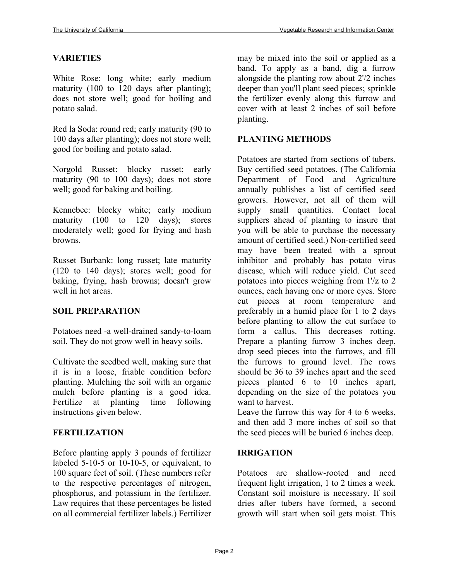#### **VARIETIES**

White Rose: long white; early medium maturity (100 to 120 days after planting); does not store well; good for boiling and potato salad.

Red la Soda: round red; early maturity (90 to 100 days after planting); does not store well; good for boiling and potato salad.

Norgold Russet: blocky russet; early maturity (90 to 100 days); does not store well; good for baking and boiling.

Kennebec: blocky white; early medium maturity (100 to 120 days); stores moderately well; good for frying and hash browns.

Russet Burbank: long russet; late maturity (120 to 140 days); stores well; good for baking, frying, hash browns; doesn't grow well in hot areas.

#### **SOIL PREPARATION**

Potatoes need -a well-drained sandy-to-loam soil. They do not grow well in heavy soils.

Cultivate the seedbed well, making sure that it is in a loose, friable condition before planting. Mulching the soil with an organic mulch before planting is a good idea. Fertilize at planting time following instructions given below.

#### **FERTILIZATION**

Before planting apply 3 pounds of fertilizer labeled  $5-10-5$  or  $10-10-5$ , or equivalent, to 100 square feet of soil. (These numbers refer to the respective percentages of nitrogen, phosphorus, and potassium in the fertilizer. Law requires that these percentages be listed on all commercial fertilizer labels.) Fertilizer

may be mixed into the soil or applied as a band. To apply as a band, dig a furrow alongside the planting row about 2'/2 inches deeper than you'll plant seed pieces; sprinkle the fertilizer evenly along this furrow and cover with at least 2 inches of soil before planting.

#### **PLANTING METHODS**

Potatoes are started from sections of tubers. Buy certified seed potatoes. (The California Department of Food and Agriculture annually publishes a list of certified seed growers. However, not all of them will supply small quantities. Contact local suppliers ahead of planting to insure that you will be able to purchase the necessary amount of certified seed.) Non-certified seed may have been treated with a sprout inhibitor and probably has potato virus disease, which will reduce yield. Cut seed potatoes into pieces weighing from 1'/z to 2 ounces, each having one or more eyes. Store cut pieces at room temperature and preferably in a humid place for 1 to 2 days before planting to allow the cut surface to form a callus. This decreases rotting. Prepare a planting furrow 3 inches deep, drop seed pieces into the furrows, and fill the furrows to ground level. The rows should be 36 to 39 inches apart and the seed pieces planted 6 to 10 inches apart, depending on the size of the potatoes you want to harvest.

Leave the furrow this way for 4 to 6 weeks, and then add 3 more inches of soil so that the seed pieces will be buried 6 inches deep.

#### **IRRIGATION**

Potatoes are shallow-rooted and need frequent light irrigation, 1 to 2 times a week. Constant soil moisture is necessary. If soil dries after tubers have formed, a second growth will start when soil gets moist. This